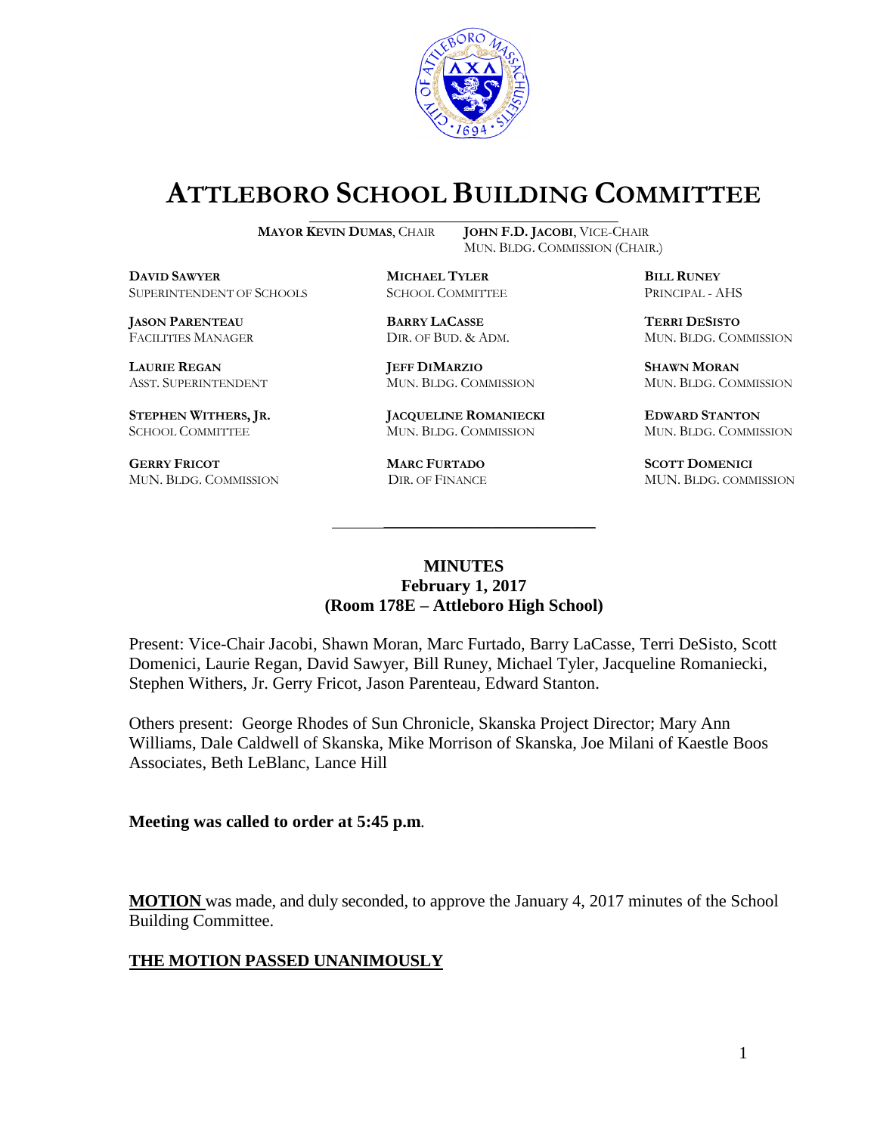

# **ATTLEBORO SCHOOL BUILDING COMMITTEE**

**DAVID SAWYER MICHAEL TYLER BILL RUNEY** SUPERINTENDENT OF SCHOOLS SCHOOL COMMITTEE PRINCIPAL - AHS

**JASON PARENTEAU BARRY LACASSE TERRI DESISTO**

**GERRY FRICOT MARC FURTADO SCOTT DOMENICI**  MUN. BLDG. COMMISSION DIR. OF FINANCE MUN. BLDG. COMMISSION

**MAYOR KEVIN DUMAS**, CHAIR **JOHN F.D. JACOBI**, VICE-CHAIR MUN. BLDG. COMMISSION (CHAIR.)

**LAURIE REGAN JEFF DIMARZIO SHAWN MORAN**

**STEPHEN WITHERS, JR. JACQUELINE ROMANIECKI EDWARD STANTON** SCHOOL COMMITTEE MUN. BLDG. COMMISSION MUN. BLDG. COMMISSION

FACILITIES MANAGER DIR. OF BUD. & ADM. MUN. BLDG. COMMISSION

ASST. SUPERINTENDENT MUN. BLDG. COMMISSION MUN. BLDG. COMMISSION

# **MINUTES February 1, 2017 (Room 178E – Attleboro High School)**

\_\_\_\_\_\_\_\_\_\_\_\_\_\_\_\_\_\_\_\_\_\_\_\_\_\_\_\_\_\_\_\_\_\_\_\_\_

Present: Vice-Chair Jacobi, Shawn Moran, Marc Furtado, Barry LaCasse, Terri DeSisto, Scott Domenici, Laurie Regan, David Sawyer, Bill Runey, Michael Tyler, Jacqueline Romaniecki, Stephen Withers, Jr. Gerry Fricot, Jason Parenteau, Edward Stanton.

Others present: George Rhodes of Sun Chronicle, Skanska Project Director; Mary Ann Williams, Dale Caldwell of Skanska, Mike Morrison of Skanska, Joe Milani of Kaestle Boos Associates, Beth LeBlanc, Lance Hill

**Meeting was called to order at 5:45 p.m**.

**MOTION** was made, and duly seconded, to approve the January 4, 2017 minutes of the School Building Committee.

# **THE MOTION PASSED UNANIMOUSLY**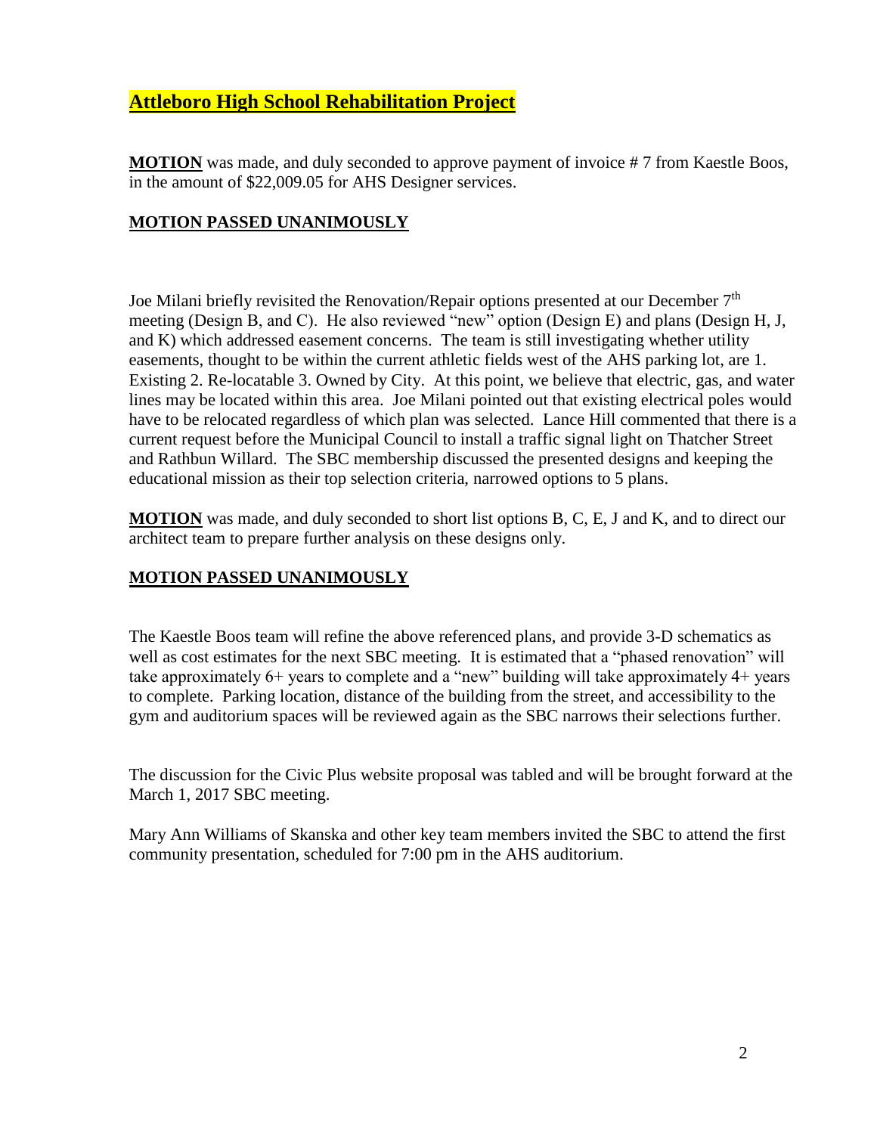# **Attleboro High School Rehabilitation Project**

**MOTION** was made, and duly seconded to approve payment of invoice # 7 from Kaestle Boos, in the amount of \$22,009.05 for AHS Designer services.

# **MOTION PASSED UNANIMOUSLY**

Joe Milani briefly revisited the Renovation/Repair options presented at our December  $7<sup>th</sup>$ meeting (Design B, and C). He also reviewed "new" option (Design E) and plans (Design H, J, and K) which addressed easement concerns. The team is still investigating whether utility easements, thought to be within the current athletic fields west of the AHS parking lot, are 1. Existing 2. Re-locatable 3. Owned by City. At this point, we believe that electric, gas, and water lines may be located within this area. Joe Milani pointed out that existing electrical poles would have to be relocated regardless of which plan was selected. Lance Hill commented that there is a current request before the Municipal Council to install a traffic signal light on Thatcher Street and Rathbun Willard. The SBC membership discussed the presented designs and keeping the educational mission as their top selection criteria, narrowed options to 5 plans.

**MOTION** was made, and duly seconded to short list options B, C, E, J and K, and to direct our architect team to prepare further analysis on these designs only.

# **MOTION PASSED UNANIMOUSLY**

The Kaestle Boos team will refine the above referenced plans, and provide 3-D schematics as well as cost estimates for the next SBC meeting. It is estimated that a "phased renovation" will take approximately 6+ years to complete and a "new" building will take approximately 4+ years to complete. Parking location, distance of the building from the street, and accessibility to the gym and auditorium spaces will be reviewed again as the SBC narrows their selections further.

The discussion for the Civic Plus website proposal was tabled and will be brought forward at the March 1, 2017 SBC meeting.

Mary Ann Williams of Skanska and other key team members invited the SBC to attend the first community presentation, scheduled for 7:00 pm in the AHS auditorium.